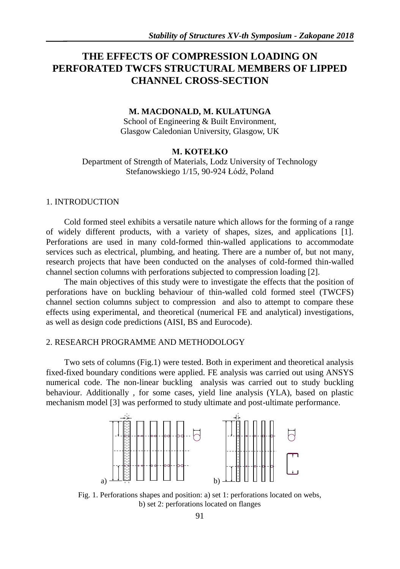# **THE EFFECTS OF COMPRESSION LOADING ON PERFORATED TWCFS STRUCTURAL MEMBERS OF LIPPED CHANNEL CROSS-SECTION**

### **M. MACDONALD, M. KULATUNGA**

School of Engineering & Built Environment, Glasgow Caledonian University, Glasgow, UK

# **M. KOTEŁKO**

Department of Strength of Materials, Lodz University of Technology Stefanowskiego 1/15, 90-924 Łódź, Poland

# 1. INTRODUCTION

Cold formed steel exhibits a versatile nature which allows for the forming of a range of widely different products, with a variety of shapes, sizes, and applications [1]. Perforations are used in many cold-formed thin-walled applications to accommodate services such as electrical, plumbing, and heating. There are a number of, but not many, research projects that have been conducted on the analyses of cold-formed thin-walled channel section columns with perforations subjected to compression loading [2].

The main objectives of this study were to investigate the effects that the position of perforations have on buckling behaviour of thin-walled cold formed steel (TWCFS) channel section columns subject to compression and also to attempt to compare these effects using experimental, and theoretical (numerical FE and analytical) investigations, as well as design code predictions (AISI, BS and Eurocode).

# 2. RESEARCH PROGRAMME AND METHODOLOGY

Two sets of columns (Fig.1) were tested. Both in experiment and theoretical analysis fixed-fixed boundary conditions were applied. FE analysis was carried out using ANSYS numerical code. The non-linear buckling analysis was carried out to study buckling behaviour. Additionally , for some cases, yield line analysis (YLA), based on plastic mechanism model [3] was performed to study ultimate and post-ultimate performance.



Fig. 1. Perforations shapes and position: a) set 1: perforations located on webs, b) set 2: perforations located on flanges